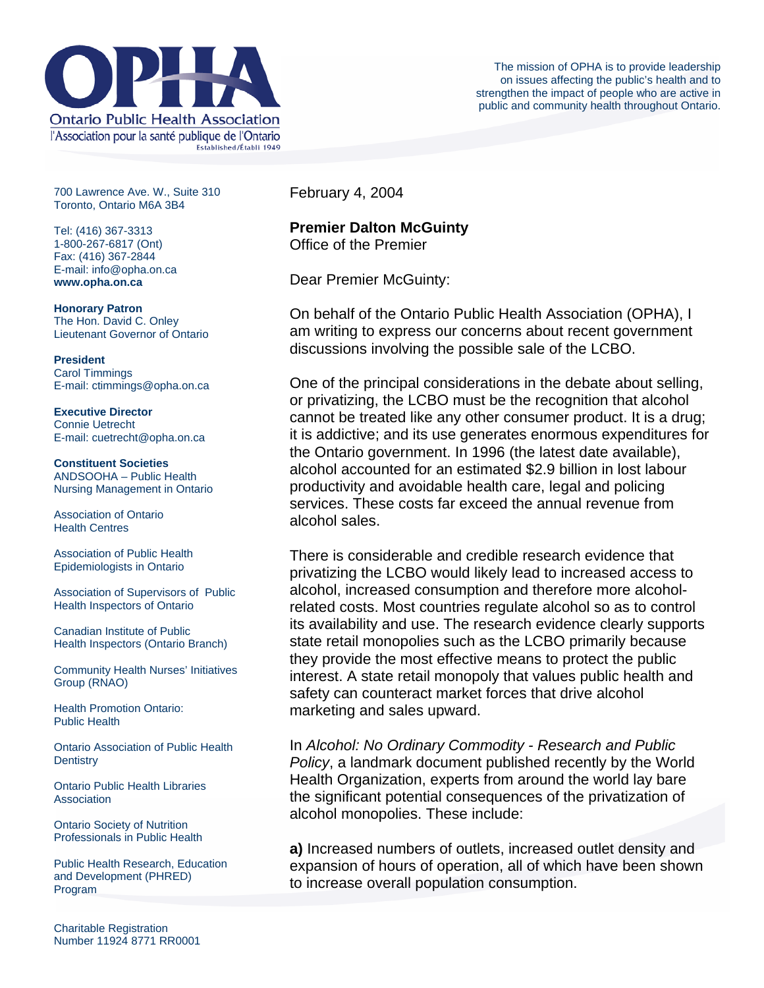

700 Lawrence Ave. W., Suite 310 Toronto, Ontario M6A 3B4

Tel: (416) 367-3313 1-800-267-6817 (Ont) Fax: (416) 367-2844 E-mail: info@opha.on.ca **www.opha.on.ca** 

**Honorary Patron**  The Hon. David C. Onley Lieutenant Governor of Ontario

**President**  Carol Timmings E-mail: ctimmings@opha.on.ca

**Executive Director**  Connie Uetrecht E-mail: cuetrecht@opha.on.ca

**Constituent Societies**  ANDSOOHA – Public Health Nursing Management in Ontario

Association of Ontario Health Centres

Association of Public Health Epidemiologists in Ontario

Association of Supervisors of Public Health Inspectors of Ontario

Canadian Institute of Public Health Inspectors (Ontario Branch)

Community Health Nurses' Initiatives Group (RNAO)

Health Promotion Ontario: Public Health

Ontario Association of Public Health **Dentistry** 

Ontario Public Health Libraries **Association** 

Ontario Society of Nutrition Professionals in Public Health

Public Health Research, Education and Development (PHRED) Program

February 4, 2004

## **Premier Dalton McGuinty**

Office of the Premier

Dear Premier McGuinty:

On behalf of the Ontario Public Health Association (OPHA), I am writing to express our concerns about recent government discussions involving the possible sale of the LCBO.

One of the principal considerations in the debate about selling, or privatizing, the LCBO must be the recognition that alcohol cannot be treated like any other consumer product. It is a drug; it is addictive; and its use generates enormous expenditures for the Ontario government. In 1996 (the latest date available), alcohol accounted for an estimated \$2.9 billion in lost labour productivity and avoidable health care, legal and policing services. These costs far exceed the annual revenue from alcohol sales.

There is considerable and credible research evidence that privatizing the LCBO would likely lead to increased access to alcohol, increased consumption and therefore more alcoholrelated costs. Most countries regulate alcohol so as to control its availability and use. The research evidence clearly supports state retail monopolies such as the LCBO primarily because they provide the most effective means to protect the public interest. A state retail monopoly that values public health and safety can counteract market forces that drive alcohol marketing and sales upward.

In *Alcohol: No Ordinary Commodity - Research and Public Policy*, a landmark document published recently by the World Health Organization, experts from around the world lay bare the significant potential consequences of the privatization of alcohol monopolies. These include:

**a)** Increased numbers of outlets, increased outlet density and expansion of hours of operation, all of which have been shown to increase overall population consumption.